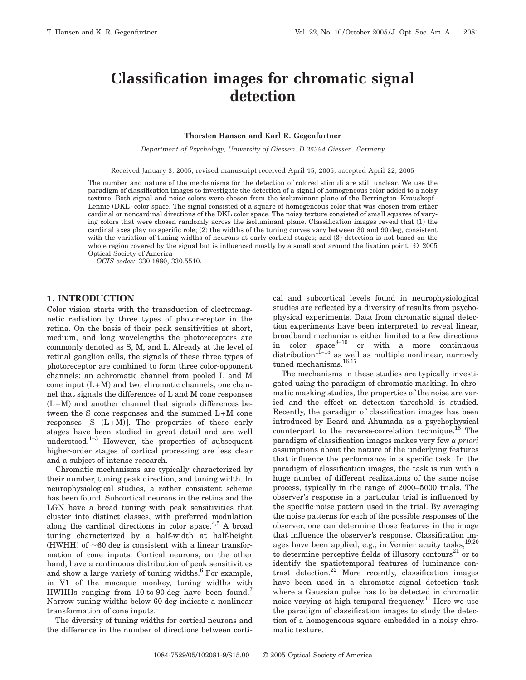# **Classification images for chromatic signal detection**

#### **Thorsten Hansen and Karl R. Gegenfurtner**

*Department of Psychology, University of Giessen, D-35394 Giessen, Germany*

Received January 3, 2005; revised manuscript received April 15, 2005; accepted April 22, 2005

The number and nature of the mechanisms for the detection of colored stimuli are still unclear. We use the paradigm of classification images to investigate the detection of a signal of homogeneous color added to a noisy texture. Both signal and noise colors were chosen from the isoluminant plane of the Derrington–Krauskopf– Lennie (DKL) color space. The signal consisted of a square of homogeneous color that was chosen from either cardinal or noncardinal directions of the DKL color space. The noisy texture consisted of small squares of varying colors that were chosen randomly across the isoluminant plane. Classification images reveal that (1) the cardinal axes play no specific role; (2) the widths of the tuning curves vary between 30 and 90 deg, consistent with the variation of tuning widths of neurons at early cortical stages; and (3) detection is not based on the whole region covered by the signal but is influenced mostly by a small spot around the fixation point. © 2005 Optical Society of America

*OCIS codes:* 330.1880, 330.5510.

## **1. INTRODUCTION**

Color vision starts with the transduction of electromagnetic radiation by three types of photoreceptor in the retina. On the basis of their peak sensitivities at short, medium, and long wavelengths the photoreceptors are commonly denoted as S, M, and L. Already at the level of retinal ganglion cells, the signals of these three types of photoreceptor are combined to form three color-opponent channels: an achromatic channel from pooled L and M cone input  $(L+M)$  and two chromatic channels, one channel that signals the differences of L and M cone responses (L-M) and another channel that signals differences between the S cone responses and the summed L+M cone responses  $[S-(L+M)]$ . The properties of these early stages have been studied in great detail and are well understood.<sup>1–3</sup> However, the properties of subsequent higher-order stages of cortical processing are less clear and a subject of intense research.

Chromatic mechanisms are typically characterized by their number, tuning peak direction, and tuning width. In neurophysiological studies, a rather consistent scheme has been found. Subcortical neurons in the retina and the LGN have a broad tuning with peak sensitivities that cluster into distinct classes, with preferred modulation along the cardinal directions in color space.<sup>4,5</sup> A broad tuning characterized by a half-width at half-height (HWHH) of  $\sim 60$  deg is consistent with a linear transformation of cone inputs. Cortical neurons, on the other hand, have a continuous distribution of peak sensitivities and show a large variety of tuning widths.<sup>6</sup> For example, in V1 of the macaque monkey, tuning widths with HWHHs ranging from 10 to 90 deg have been found.<sup>7</sup> Narrow tuning widths below 60 deg indicate a nonlinear transformation of cone inputs.

The diversity of tuning widths for cortical neurons and the difference in the number of directions between corti-

cal and subcortical levels found in neurophysiological studies are reflected by a diversity of results from psychophysical experiments. Data from chromatic signal detection experiments have been interpreted to reveal linear, broadband mechanisms either limited to a few directions in color  $space^{8-10}$  or with a more continuous distribution<sup>11–15</sup> as well as multiple nonlinear, narrowly tuned mechanisms.<sup>16,17</sup>

The mechanisms in these studies are typically investigated using the paradigm of chromatic masking. In chromatic masking studies, the properties of the noise are varied and the effect on detection threshold is studied. Recently, the paradigm of classification images has been introduced by Beard and Ahumada as a psychophysical counterpart to the reverse-correlation technique.<sup>18</sup> The paradigm of classification images makes very few *a priori* assumptions about the nature of the underlying features that influence the performance in a specific task. In the paradigm of classification images, the task is run with a huge number of different realizations of the same noise process, typically in the range of 2000–5000 trials. The observer's response in a particular trial is influenced by the specific noise pattern used in the trial. By averaging the noise patterns for each of the possible responses of the observer, one can determine those features in the image that influence the observer's response. Classification images have been applied, e.g., in Vernier acuity tasks,  $^{19,20}$ to determine perceptive fields of illusory contours $^{21}$  or to identify the spatiotemporal features of luminance contrast detection.<sup>22</sup> More recently, classification images have been used in a chromatic signal detection task where a Gaussian pulse has to be detected in chromatic noise varying at high temporal frequency.<sup>11</sup> Here we use the paradigm of classification images to study the detection of a homogeneous square embedded in a noisy chromatic texture.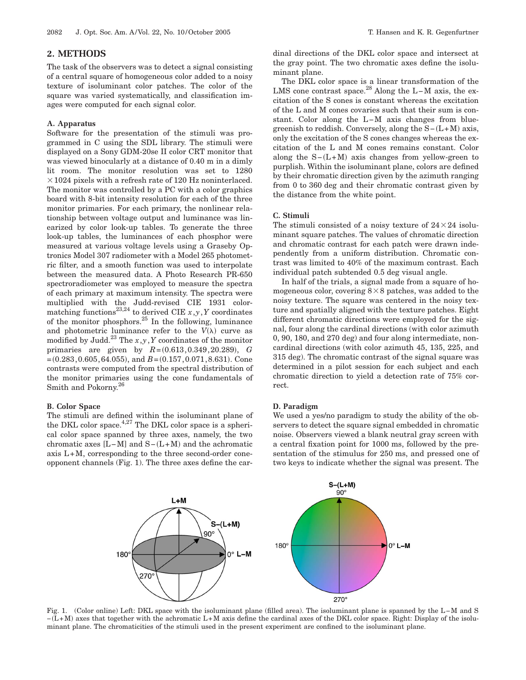#### **2. METHODS**

The task of the observers was to detect a signal consisting of a central square of homogeneous color added to a noisy texture of isoluminant color patches. The color of the square was varied systematically, and classification images were computed for each signal color.

#### **A. Apparatus**

Software for the presentation of the stimuli was programmed in C using the SDL library. The stimuli were displayed on a Sony GDM-20se II color CRT monitor that was viewed binocularly at a distance of 0.40 m in a dimly lit room. The monitor resolution was set to 1280  $\times$  1024 pixels with a refresh rate of 120 Hz noninterlaced. The monitor was controlled by a PC with a color graphics board with 8-bit intensity resolution for each of the three monitor primaries. For each primary, the nonlinear relationship between voltage output and luminance was linearized by color look-up tables. To generate the three look-up tables, the luminances of each phosphor were measured at various voltage levels using a Graseby Optronics Model 307 radiometer with a Model 265 photometric filter, and a smooth function was used to interpolate between the measured data. A Photo Research PR-650 spectroradiometer was employed to measure the spectra of each primary at maximum intensity. The spectra were multiplied with the Judd-revised CIE 1931 colormatching functions<sup>23,24</sup> to derived CIE  $x, y, Y$  coordinates of the monitor phosphors.<sup>25</sup> In the following, luminance and photometric luminance refer to the  $V(\lambda)$  curve as modified by Judd.<sup>23</sup> The  $x, y, Y$  coordinates of the monitor primaries are given by  $R = (0.613, 0.349, 20.289), G$  $=(0.283, 0.605, 64.055),$  and  $B=(0.157, 0.071, 8.631)$ . Cone contrasts were computed from the spectral distribution of the monitor primaries using the cone fundamentals of Smith and Pokorny.<sup>26</sup>

#### **B. Color Space**

The stimuli are defined within the isoluminant plane of the DKL color space.<sup>4,27</sup> The DKL color space is a spherical color space spanned by three axes, namely, the two chromatic axes  $[L-M]$  and  $S-(L+M)$  and the achromatic axis L+M, corresponding to the three second-order coneopponent channels (Fig. 1). The three axes define the car-

dinal directions of the DKL color space and intersect at the gray point. The two chromatic axes define the isoluminant plane.

The DKL color space is a linear transformation of the LMS cone contrast space.28 Along the L−M axis, the excitation of the S cones is constant whereas the excitation of the L and M cones covaries such that their sum is constant. Color along the L−M axis changes from bluegreenish to reddish. Conversely, along the  $S-(L+M)$  axis, only the excitation of the S cones changes whereas the excitation of the L and M cones remains constant. Color along the  $S-(L+M)$  axis changes from yellow-green to purplish. Within the isoluminant plane, colors are defined by their chromatic direction given by the azimuth ranging from 0 to 360 deg and their chromatic contrast given by the distance from the white point.

## **C. Stimuli**

The stimuli consisted of a noisy texture of  $24 \times 24$  isoluminant square patches. The values of chromatic direction and chromatic contrast for each patch were drawn independently from a uniform distribution. Chromatic contrast was limited to 40% of the maximum contrast. Each individual patch subtended 0.5 deg visual angle.

In half of the trials, a signal made from a square of homogeneous color, covering  $8 \times 8$  patches, was added to the noisy texture. The square was centered in the noisy texture and spatially aligned with the texture patches. Eight different chromatic directions were employed for the signal, four along the cardinal directions (with color azimuth 0, 90, 180, and 270 deg) and four along intermediate, noncardinal directions (with color azimuth 45, 135, 225, and 315 deg). The chromatic contrast of the signal square was determined in a pilot session for each subject and each chromatic direction to yield a detection rate of 75% correct.

#### **D. Paradigm**

We used a yes/no paradigm to study the ability of the observers to detect the square signal embedded in chromatic noise. Observers viewed a blank neutral gray screen with a central fixation point for 1000 ms, followed by the presentation of the stimulus for 250 ms, and pressed one of two keys to indicate whether the signal was present. The



Fig. 1. (Color online) Left: DKL space with the isoluminant plane (filled area). The isoluminant plane is spanned by the L−M and S −L+M- axes that together with the achromatic L+M axis define the cardinal axes of the DKL color space. Right: Display of the isoluminant plane. The chromaticities of the stimuli used in the present experiment are confined to the isoluminant plane.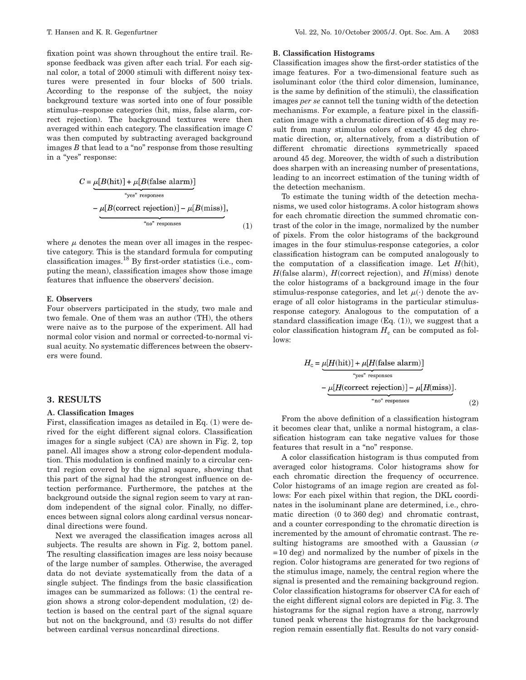fixation point was shown throughout the entire trail. Response feedback was given after each trial. For each signal color, a total of 2000 stimuli with different noisy textures were presented in four blocks of 500 trials. According to the response of the subject, the noisy background texture was sorted into one of four possible stimulus–response categories (hit, miss, false alarm, correct rejection). The background textures were then averaged within each category. The classification image *C* was then computed by subtracting averaged background images *B* that lead to a "no" response from those resulting in a "yes" response:

$$
C = \underbrace{\mu[B(\text{hit})] + \mu[B(\text{false alarm})]}_{\text{``yes'' responses}}
$$

$$
- \underbrace{\mu[B(\text{correct rejection})] - \mu[B(\text{miss})]}_{\text{``no'' responses}},
$$
(1)

where  $\mu$  denotes the mean over all images in the respective category. This is the standard formula for computing classification images.18 By first-order statistics (i.e., computing the mean), classification images show those image features that influence the observers' decision.

## **E. Observers**

Four observers participated in the study, two male and two female. One of them was an author (TH), the others were naive as to the purpose of the experiment. All had normal color vision and normal or corrected-to-normal visual acuity. No systematic differences between the observers were found.

## **3. RESULTS**

#### **A. Classification Images**

First, classification images as detailed in Eq. (1) were derived for the eight different signal colors. Classification images for a single subject (CA) are shown in Fig. 2, top panel. All images show a strong color-dependent modulation. This modulation is confined mainly to a circular central region covered by the signal square, showing that this part of the signal had the strongest influence on detection performance. Furthermore, the patches at the background outside the signal region seem to vary at random independent of the signal color. Finally, no differences between signal colors along cardinal versus noncardinal directions were found.

Next we averaged the classification images across all subjects. The results are shown in Fig. 2, bottom panel. The resulting classification images are less noisy because of the large number of samples. Otherwise, the averaged data do not deviate systematically from the data of a single subject. The findings from the basic classification images can be summarized as follows: (1) the central region shows a strong color-dependent modulation, (2) detection is based on the central part of the signal square but not on the background, and (3) results do not differ between cardinal versus noncardinal directions.

#### **B. Classification Histograms**

Classification images show the first-order statistics of the image features. For a two-dimensional feature such as isoluminant color (the third color dimension, luminance, is the same by definition of the stimuli), the classification images *per se* cannot tell the tuning width of the detection mechanisms. For example, a feature pixel in the classification image with a chromatic direction of 45 deg may result from many stimulus colors of exactly 45 deg chromatic direction, or, alternatively, from a distribution of different chromatic directions symmetrically spaced around 45 deg. Moreover, the width of such a distribution does sharpen with an increasing number of presentations, leading to an incorrect estimation of the tuning width of the detection mechanism.

To estimate the tuning width of the detection mechanisms, we used color histograms. A color histogram shows for each chromatic direction the summed chromatic contrast of the color in the image, normalized by the number of pixels. From the color histograms of the background images in the four stimulus-response categories, a color classification histogram can be computed analogously to the computation of a classification image. Let  $H$ (hit),  $H$ (false alarm),  $H$ (correct rejection), and  $H$ (miss) denote the color histograms of a background image in the four stimulus-response categories, and let  $\mu(\cdot)$  denote the average of all color histograms in the particular stimulusresponse category. Analogous to the computation of a standard classification image (Eq. (1)), we suggest that a color classification histogram  $H_c$  can be computed as follows:

$$
H_{\rm c} = \underbrace{\mu[H(\rm hit)] + \mu[H(\rm false\; alarm)]}_{\text{*yes" responses}}
$$

$$
-\underbrace{\mu[H(\rm correct\; rejection)] - \mu[H(\rm miss)]}_{\text{*no" responses}}.
$$
(2)

From the above definition of a classification histogram it becomes clear that, unlike a normal histogram, a classification histogram can take negative values for those features that result in a "no" response.

A color classification histogram is thus computed from averaged color histograms. Color histograms show for each chromatic direction the frequency of occurrence. Color histograms of an image region are created as follows: For each pixel within that region, the DKL coordinates in the isoluminant plane are determined, i.e., chromatic direction (0 to 360 deg) and chromatic contrast, and a counter corresponding to the chromatic direction is incremented by the amount of chromatic contrast. The resulting histograms are smoothed with a Gaussian ( $\sigma$ =10 deg) and normalized by the number of pixels in the region. Color histograms are generated for two regions of the stimulus image, namely, the central region where the signal is presented and the remaining background region. Color classification histograms for observer CA for each of the eight different signal colors are depicted in Fig. 3. The histograms for the signal region have a strong, narrowly tuned peak whereas the histograms for the background region remain essentially flat. Results do not vary consid-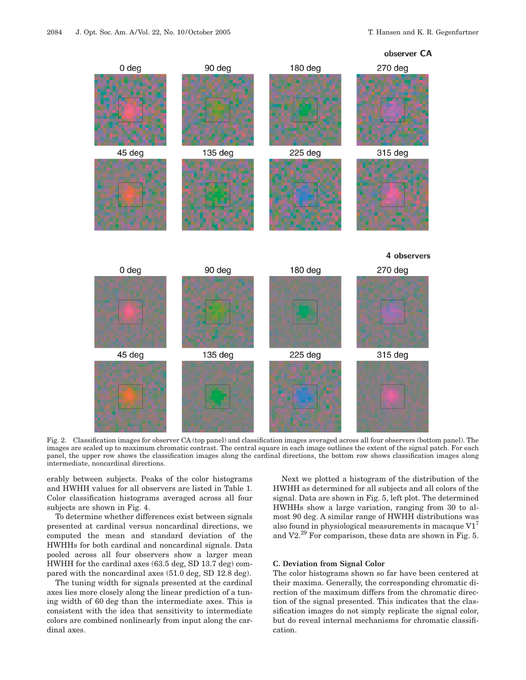

Fig. 2. Classification images for observer CA (top panel) and classification images averaged across all four observers (bottom panel). The images are scaled up to maximum chromatic contrast. The central square in each image outlines the extent of the signal patch. For each panel, the upper row shows the classification images along the cardinal directions, the bottom row shows classification images along intermediate, noncardinal directions.

erably between subjects. Peaks of the color histograms and HWHH values for all observers are listed in Table 1. Color classification histograms averaged across all four subjects are shown in Fig. 4.

To determine whether differences exist between signals presented at cardinal versus noncardinal directions, we computed the mean and standard deviation of the HWHHs for both cardinal and noncardinal signals. Data pooled across all four observers show a larger mean HWHH for the cardinal axes (63.5 deg, SD 13.7 deg) compared with the noncardinal axes (51.0 deg, SD 12.8 deg).

The tuning width for signals presented at the cardinal axes lies more closely along the linear prediction of a tuning width of 60 deg than the intermediate axes. This is consistent with the idea that sensitivity to intermediate colors are combined nonlinearly from input along the cardinal axes.

Next we plotted a histogram of the distribution of the HWHH as determined for all subjects and all colors of the signal. Data are shown in Fig. 5, left plot. The determined HWHHs show a large variation, ranging from 30 to almost 90 deg. A similar range of HWHH distributions was also found in physiological measurements in macaque  $VI<sup>7</sup>$ and V2.<sup>29</sup> For comparison, these data are shown in Fig. 5.

#### **C. Deviation from Signal Color**

The color histograms shown so far have been centered at their maxima. Generally, the corresponding chromatic direction of the maximum differs from the chromatic direction of the signal presented. This indicates that the classification images do not simply replicate the signal color, but do reveal internal mechanisms for chromatic classification.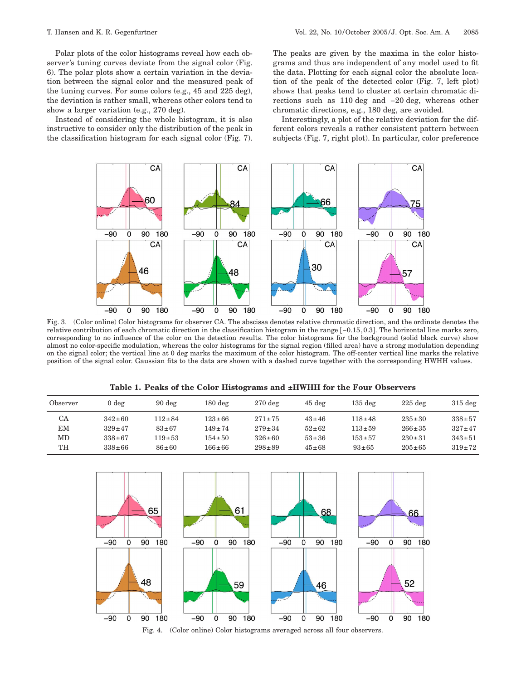Polar plots of the color histograms reveal how each observer's tuning curves deviate from the signal color (Fig. 6). The polar plots show a certain variation in the deviation between the signal color and the measured peak of the tuning curves. For some colors (e.g., 45 and 225 deg), the deviation is rather small, whereas other colors tend to show a larger variation (e.g., 270 deg).

Instead of considering the whole histogram, it is also instructive to consider only the distribution of the peak in the classification histogram for each signal color (Fig. 7). The peaks are given by the maxima in the color histograms and thus are independent of any model used to fit the data. Plotting for each signal color the absolute location of the peak of the detected color (Fig. 7, left plot) shows that peaks tend to cluster at certain chromatic directions such as 110 deg and −20 deg, whereas other chromatic directions, e.g., 180 deg, are avoided.

Interestingly, a plot of the relative deviation for the different colors reveals a rather consistent pattern between subjects (Fig. 7, right plot). In particular, color preference



Fig. 3. (Color online) Color histograms for observer CA. The abscissa denotes relative chromatic direction, and the ordinate denotes the relative contribution of each chromatic direction in the classification histogram in the range [-0.15,0.3]. The horizontal line marks zero, corresponding to no influence of the color on the detection results. The color histograms for the background (solid black curve) show almost no color-specific modulation, whereas the color histograms for the signal region (filled area) have a strong modulation depending on the signal color; the vertical line at 0 deg marks the maximum of the color histogram. The off-center vertical line marks the relative position of the signal color. Gaussian fits to the data are shown with a dashed curve together with the corresponding HWHH values.

|  |  |  |  | Table 1. Peaks of the Color Histograms and ±HWHH for the Four Observers |  |  |  |  |  |  |
|--|--|--|--|-------------------------------------------------------------------------|--|--|--|--|--|--|
|--|--|--|--|-------------------------------------------------------------------------|--|--|--|--|--|--|

| Observer  | 0 deg        | $90 \text{ deg}$ | $180 \text{ deg}$ | $270 \text{ deg}$ | $45 \text{ deg}$ | $135$ deg   | $225$ deg    | $315 \text{ deg}$ |
|-----------|--------------|------------------|-------------------|-------------------|------------------|-------------|--------------|-------------------|
| <b>CA</b> | $342 \pm 60$ | $112 \pm 84$     | $123 \pm 66$      | $271 \pm 75$      | $43 \pm 46$      | $118 + 48$  | $235 \pm 30$ | $338 + 57$        |
| EM        | $329 \pm 47$ | $83 + 67$        | $149 \pm 74$      | $279 \pm 34$      | $52 + 62$        | $113 + 59$  | $266 \pm 35$ | $327 \pm 47$      |
| MD        | $338 \pm 67$ | $119 + 53$       | $154 \pm 50$      | $326 \pm 60$      | $53 \pm 36$      | $153 + 57$  | $230 \pm 31$ | $343 + 51$        |
| TH        | $338 \pm 66$ | $86 \pm 60$      | $166 \pm 66$      | $298 + 89$        | $45 \pm 68$      | $93 \pm 65$ | $205 \pm 65$ | $319 + 72$        |



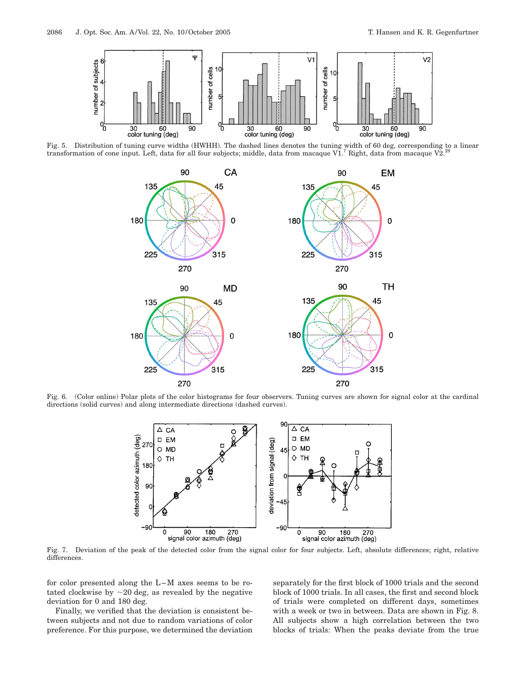

Fig. 5. Distribution of tuning curve widths (HWHH). The dashed lines denotes the tuning width of 60 deg, corresponding to a linear<br>transformation of cone input. Left, data for all four subjects; middle, data from macaque



Fig. 6. (Color online) Polar plots of the color histograms for four observers. Tuning curves are shown for signal color at the cardinal directions (solid curves) and along intermediate directions (dashed curves).



Fig. 7. Deviation of the peak of the detected color from the signal color for four subjects. Left, absolute differences; right, relative differences.

for color presented along the L−M axes seems to be rotated clockwise by  $\sim$  20 deg, as revealed by the negative deviation for 0 and 180 deg.

Finally, we verified that the deviation is consistent between subjects and not due to random variations of color preference. For this purpose, we determined the deviation separately for the first block of 1000 trials and the second block of 1000 trials. In all cases, the first and second block of trials were completed on different days, sometimes with a week or two in between. Data are shown in Fig. 8. All subjects show a high correlation between the two blocks of trials: When the peaks deviate from the true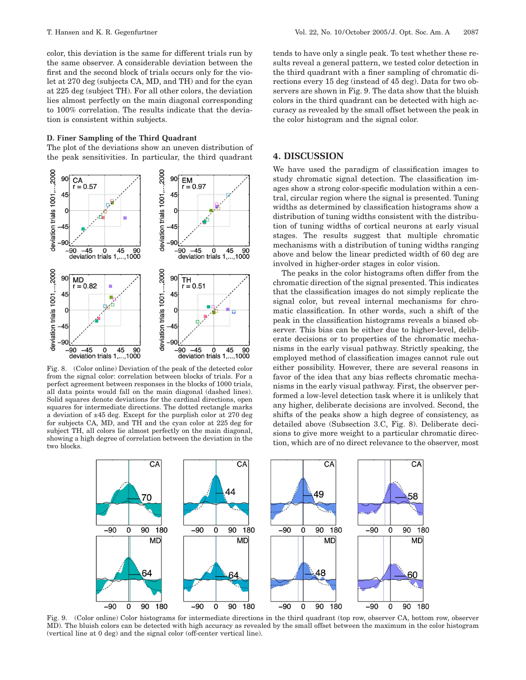color, this deviation is the same for different trials run by the same observer. A considerable deviation between the first and the second block of trials occurs only for the violet at 270 deg (subjects CA, MD, and TH) and for the cyan at 225 deg (subject TH). For all other colors, the deviation lies almost perfectly on the main diagonal corresponding to 100% correlation. The results indicate that the deviation is consistent within subjects.

#### **D. Finer Sampling of the Third Quadrant**

The plot of the deviations show an uneven distribution of the peak sensitivities. In particular, the third quadrant



Fig. 8. (Color online) Deviation of the peak of the detected color from the signal color: correlation between blocks of trials. For a perfect agreement between responses in the blocks of 1000 trials, all data points would fall on the main diagonal (dashed lines). Solid squares denote deviations for the cardinal directions, open squares for intermediate directions. The dotted rectangle marks a deviation of ±45 deg. Except for the purplish color at 270 deg for subjects CA, MD, and TH and the cyan color at 225 deg for subject TH, all colors lie almost perfectly on the main diagonal, showing a high degree of correlation between the deviation in the two blocks.

tends to have only a single peak. To test whether these results reveal a general pattern, we tested color detection in the third quadrant with a finer sampling of chromatic directions every 15 deg (instead of 45 deg). Data for two observers are shown in Fig. 9. The data show that the bluish colors in the third quadrant can be detected with high accuracy as revealed by the small offset between the peak in the color histogram and the signal color.

## **4. DISCUSSION**

We have used the paradigm of classification images to study chromatic signal detection. The classification images show a strong color-specific modulation within a central, circular region where the signal is presented. Tuning widths as determined by classification histograms show a distribution of tuning widths consistent with the distribution of tuning widths of cortical neurons at early visual stages. The results suggest that multiple chromatic mechanisms with a distribution of tuning widths ranging above and below the linear predicted width of 60 deg are involved in higher-order stages in color vision.

The peaks in the color histograms often differ from the chromatic direction of the signal presented. This indicates that the classification images do not simply replicate the signal color, but reveal internal mechanisms for chromatic classification. In other words, such a shift of the peak in the classification histograms reveals a biased observer. This bias can be either due to higher-level, deliberate decisions or to properties of the chromatic mechanisms in the early visual pathway. Strictly speaking, the employed method of classification images cannot rule out either possibility. However, there are several reasons in favor of the idea that any bias reflects chromatic mechanisms in the early visual pathway. First, the observer performed a low-level detection task where it is unlikely that any higher, deliberate decisions are involved. Second, the shifts of the peaks show a high degree of consistency, as detailed above (Subsection 3.C, Fig. 8). Deliberate decisions to give more weight to a particular chromatic direction, which are of no direct relevance to the observer, most



Fig. 9. (Color online) Color histograms for intermediate directions in the third quadrant (top row, observer CA, bottom row, observer MD). The bluish colors can be detected with high accuracy as revealed by the small offset between the maximum in the color histogram (vertical line at 0 deg) and the signal color (off-center vertical line).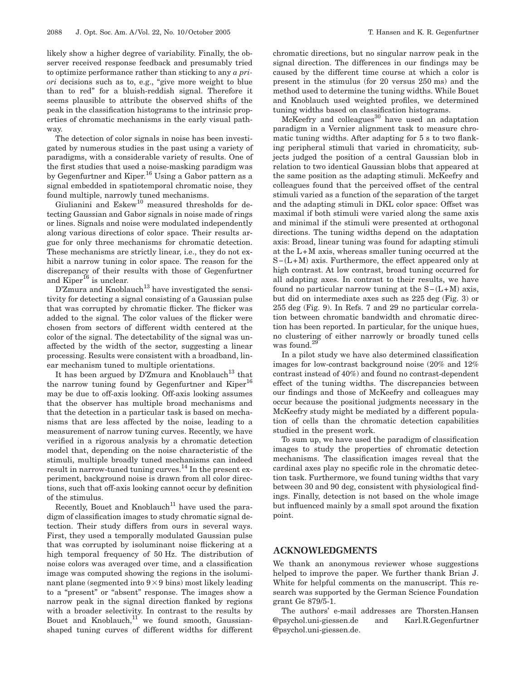likely show a higher degree of variability. Finally, the observer received response feedback and presumably tried to optimize performance rather than sticking to any *a priori* decisions such as to, e.g., "give more weight to blue than to red" for a bluish-reddish signal. Therefore it seems plausible to attribute the observed shifts of the peak in the classification histograms to the intrinsic properties of chromatic mechanisms in the early visual pathway.

The detection of color signals in noise has been investigated by numerous studies in the past using a variety of paradigms, with a considerable variety of results. One of the first studies that used a noise-masking paradigm was by Gegenfurtner and Kiper.<sup>16</sup> Using a Gabor pattern as a signal embedded in spatiotemporal chromatic noise, they found multiple, narrowly tuned mechanisms.

Giulianini and Eskew<sup>10</sup> measured thresholds for detecting Gaussian and Gabor signals in noise made of rings or lines. Signals and noise were modulated independently along various directions of color space. Their results argue for only three mechanisms for chromatic detection. These mechanisms are strictly linear, i.e., they do not exhibit a narrow tuning in color space. The reason for the discrepancy of their results with those of Gegenfurtner and  $\overline{\text{Kiper}}^{\text{I6}}$  is unclear.

 $DZ$ mura and Knoblauch<sup>13</sup> have investigated the sensitivity for detecting a signal consisting of a Gaussian pulse that was corrupted by chromatic flicker. The flicker was added to the signal. The color values of the flicker were chosen from sectors of different width centered at the color of the signal. The detectability of the signal was unaffected by the width of the sector, suggesting a linear processing. Results were consistent with a broadband, linear mechanism tuned to multiple orientations.

It has been argued by D'Zmura and Knoblauch<sup>13</sup> that the narrow tuning found by Gegenfurtner and  $Kiper^{16}$ may be due to off-axis looking. Off-axis looking assumes that the observer has multiple broad mechanisms and that the detection in a particular task is based on mechanisms that are less affected by the noise, leading to a measurement of narrow tuning curves. Recently, we have verified in a rigorous analysis by a chromatic detection model that, depending on the noise characteristic of the stimuli, multiple broadly tuned mechanisms can indeed result in narrow-tuned tuning curves.<sup>14</sup> In the present experiment, background noise is drawn from all color directions, such that off-axis looking cannot occur by definition of the stimulus.

Recently, Bouet and Knoblauch<sup>11</sup> have used the paradigm of classification images to study chromatic signal detection. Their study differs from ours in several ways. First, they used a temporally modulated Gaussian pulse that was corrupted by isoluminant noise flickering at a high temporal frequency of 50 Hz. The distribution of noise colors was averaged over time, and a classification image was computed showing the regions in the isoluminant plane (segmented into  $9 \times 9$  bins) most likely leading to a "present" or "absent" response. The images show a narrow peak in the signal direction flanked by regions with a broader selectivity. In contrast to the results by Bouet and Knoblauch, $11$  we found smooth, Gaussianshaped tuning curves of different widths for different

chromatic directions, but no singular narrow peak in the signal direction. The differences in our findings may be caused by the different time course at which a color is present in the stimulus (for 20 versus 250 ms) and the method used to determine the tuning widths. While Bouet and Knoblauch used weighted profiles, we determined tuning widths based on classification histograms.

 $McKeefry$  and colleagues<sup>30</sup> have used an adaptation paradigm in a Vernier alignment task to measure chromatic tuning widths. After adapting for 5 s to two flanking peripheral stimuli that varied in chromaticity, subjects judged the position of a central Gaussian blob in relation to two identical Gaussian blobs that appeared at the same position as the adapting stimuli. McKeefry and colleagues found that the perceived offset of the central stimuli varied as a function of the separation of the target and the adapting stimuli in DKL color space: Offset was maximal if both stimuli were varied along the same axis and minimal if the stimuli were presented at orthogonal directions. The tuning widths depend on the adaptation axis: Broad, linear tuning was found for adapting stimuli at the L+M axis, whereas smaller tuning occurred at the S-(L+M) axis. Furthermore, the effect appeared only at high contrast. At low contrast, broad tuning occurred for all adapting axes. In contrast to their results, we have found no particular narrow tuning at the  $S-(L+M)$  axis, but did on intermediate axes such as 225 deg (Fig. 3) or 255 deg (Fig. 9). In Refs. 7 and 29 no particular correlation between chromatic bandwidth and chromatic direction has been reported. In particular, for the unique hues, no clustering of either narrowly or broadly tuned cells was found.<sup>29</sup>

In a pilot study we have also determined classification images for low-contrast background noise (20% and 12% contrast instead of 40%) and found no contrast-dependent effect of the tuning widths. The discrepancies between our findings and those of McKeefry and colleagues may occur because the positional judgments necessary in the McKeefry study might be mediated by a different population of cells than the chromatic detection capabilities studied in the present work.

To sum up, we have used the paradigm of classification images to study the properties of chromatic detection mechanisms. The classification images reveal that the cardinal axes play no specific role in the chromatic detection task. Furthermore, we found tuning widths that vary between 30 and 90 deg, consistent with physiological findings. Finally, detection is not based on the whole image but influenced mainly by a small spot around the fixation point.

## **ACKNOWLEDGMENTS**

We thank an anonymous reviewer whose suggestions helped to improve the paper. We further thank Brian J. White for helpful comments on the manuscript. This research was supported by the German Science Foundation grant Ge 879/5-1.

The authors' e-mail addresses are Thorsten.Hansen @psychol.uni-giessen.de and Karl.R.Gegenfurtner @psychol.uni-giessen.de.